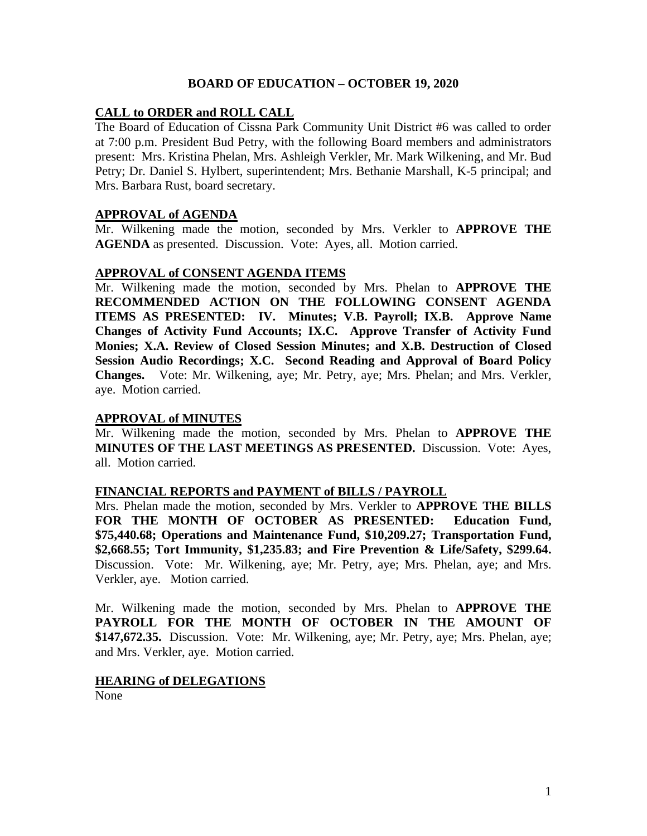## **BOARD OF EDUCATION – OCTOBER 19, 2020**

# **CALL to ORDER and ROLL CALL**

The Board of Education of Cissna Park Community Unit District #6 was called to order at 7:00 p.m. President Bud Petry, with the following Board members and administrators present: Mrs. Kristina Phelan, Mrs. Ashleigh Verkler, Mr. Mark Wilkening, and Mr. Bud Petry; Dr. Daniel S. Hylbert, superintendent; Mrs. Bethanie Marshall, K-5 principal; and Mrs. Barbara Rust, board secretary.

### **APPROVAL of AGENDA**

Mr. Wilkening made the motion, seconded by Mrs. Verkler to **APPROVE THE AGENDA** as presented. Discussion. Vote: Ayes, all. Motion carried.

### **APPROVAL of CONSENT AGENDA ITEMS**

Mr. Wilkening made the motion, seconded by Mrs. Phelan to **APPROVE THE RECOMMENDED ACTION ON THE FOLLOWING CONSENT AGENDA ITEMS AS PRESENTED: IV. Minutes; V.B. Payroll; IX.B. Approve Name Changes of Activity Fund Accounts; IX.C. Approve Transfer of Activity Fund Monies; X.A. Review of Closed Session Minutes; and X.B. Destruction of Closed Session Audio Recordings; X.C. Second Reading and Approval of Board Policy Changes.** Vote: Mr. Wilkening, aye; Mr. Petry, aye; Mrs. Phelan; and Mrs. Verkler, aye. Motion carried.

### **APPROVAL of MINUTES**

Mr. Wilkening made the motion, seconded by Mrs. Phelan to **APPROVE THE MINUTES OF THE LAST MEETINGS AS PRESENTED.** Discussion. Vote: Ayes, all. Motion carried.

### **FINANCIAL REPORTS and PAYMENT of BILLS / PAYROLL**

Mrs. Phelan made the motion, seconded by Mrs. Verkler to **APPROVE THE BILLS FOR THE MONTH OF OCTOBER AS PRESENTED: Education Fund, \$75,440.68; Operations and Maintenance Fund, \$10,209.27; Transportation Fund, \$2,668.55; Tort Immunity, \$1,235.83; and Fire Prevention & Life/Safety, \$299.64.**  Discussion. Vote: Mr. Wilkening, aye; Mr. Petry, aye; Mrs. Phelan, aye; and Mrs. Verkler, aye. Motion carried.

Mr. Wilkening made the motion, seconded by Mrs. Phelan to **APPROVE THE PAYROLL FOR THE MONTH OF OCTOBER IN THE AMOUNT OF \$147,672.35.** Discussion. Vote: Mr. Wilkening, aye; Mr. Petry, aye; Mrs. Phelan, aye; and Mrs. Verkler, aye. Motion carried.

#### **HEARING of DELEGATIONS**

None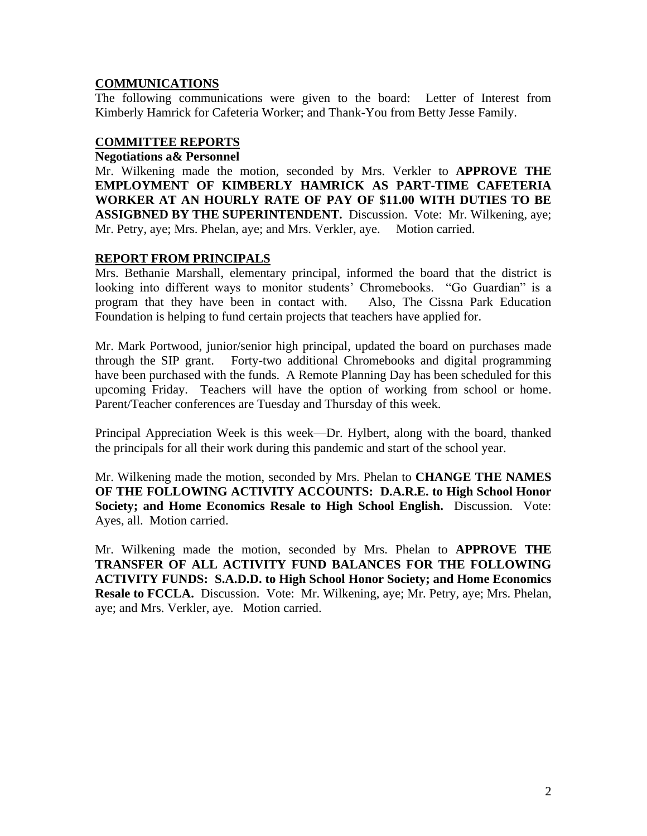# **COMMUNICATIONS**

The following communications were given to the board: Letter of Interest from Kimberly Hamrick for Cafeteria Worker; and Thank-You from Betty Jesse Family.

# **COMMITTEE REPORTS**

### **Negotiations a& Personnel**

Mr. Wilkening made the motion, seconded by Mrs. Verkler to **APPROVE THE EMPLOYMENT OF KIMBERLY HAMRICK AS PART-TIME CAFETERIA WORKER AT AN HOURLY RATE OF PAY OF \$11.00 WITH DUTIES TO BE ASSIGBNED BY THE SUPERINTENDENT.** Discussion. Vote: Mr. Wilkening, aye; Mr. Petry, aye; Mrs. Phelan, aye; and Mrs. Verkler, aye. Motion carried.

# **REPORT FROM PRINCIPALS**

Mrs. Bethanie Marshall, elementary principal, informed the board that the district is looking into different ways to monitor students' Chromebooks. "Go Guardian" is a program that they have been in contact with. Also, The Cissna Park Education Foundation is helping to fund certain projects that teachers have applied for.

Mr. Mark Portwood, junior/senior high principal, updated the board on purchases made through the SIP grant. Forty-two additional Chromebooks and digital programming have been purchased with the funds. A Remote Planning Day has been scheduled for this upcoming Friday. Teachers will have the option of working from school or home. Parent/Teacher conferences are Tuesday and Thursday of this week.

Principal Appreciation Week is this week—Dr. Hylbert, along with the board, thanked the principals for all their work during this pandemic and start of the school year.

Mr. Wilkening made the motion, seconded by Mrs. Phelan to **CHANGE THE NAMES OF THE FOLLOWING ACTIVITY ACCOUNTS: D.A.R.E. to High School Honor Society; and Home Economics Resale to High School English.** Discussion. Vote: Ayes, all. Motion carried.

Mr. Wilkening made the motion, seconded by Mrs. Phelan to **APPROVE THE TRANSFER OF ALL ACTIVITY FUND BALANCES FOR THE FOLLOWING ACTIVITY FUNDS: S.A.D.D. to High School Honor Society; and Home Economics Resale to FCCLA.** Discussion. Vote: Mr. Wilkening, aye; Mr. Petry, aye; Mrs. Phelan, aye; and Mrs. Verkler, aye. Motion carried.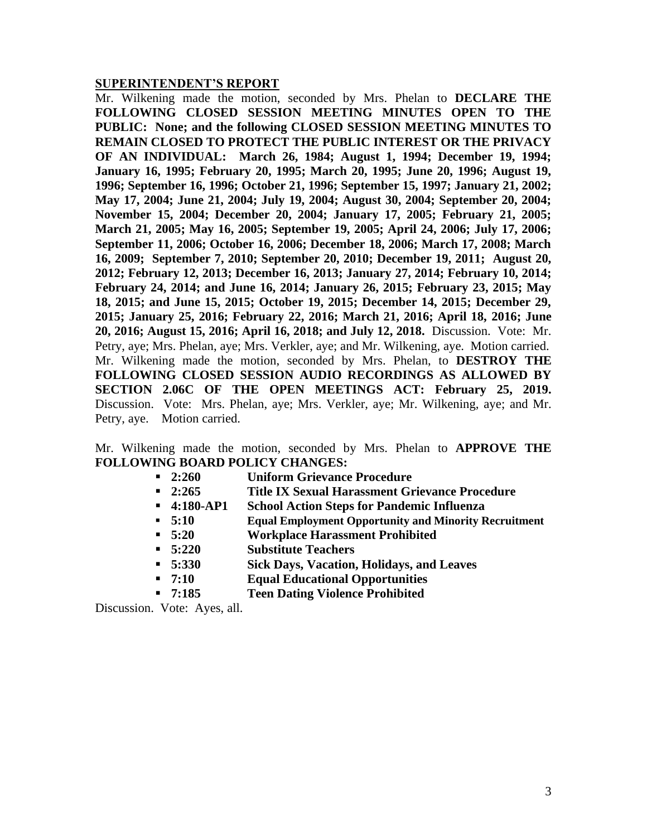#### **SUPERINTENDENT'S REPORT**

Mr. Wilkening made the motion, seconded by Mrs. Phelan to **DECLARE THE FOLLOWING CLOSED SESSION MEETING MINUTES OPEN TO THE PUBLIC: None; and the following CLOSED SESSION MEETING MINUTES TO REMAIN CLOSED TO PROTECT THE PUBLIC INTEREST OR THE PRIVACY OF AN INDIVIDUAL: March 26, 1984; August 1, 1994; December 19, 1994; January 16, 1995; February 20, 1995; March 20, 1995; June 20, 1996; August 19, 1996; September 16, 1996; October 21, 1996; September 15, 1997; January 21, 2002; May 17, 2004; June 21, 2004; July 19, 2004; August 30, 2004; September 20, 2004; November 15, 2004; December 20, 2004; January 17, 2005; February 21, 2005; March 21, 2005; May 16, 2005; September 19, 2005; April 24, 2006; July 17, 2006; September 11, 2006; October 16, 2006; December 18, 2006; March 17, 2008; March 16, 2009; September 7, 2010; September 20, 2010; December 19, 2011; August 20, 2012; February 12, 2013; December 16, 2013; January 27, 2014; February 10, 2014; February 24, 2014; and June 16, 2014; January 26, 2015; February 23, 2015; May 18, 2015; and June 15, 2015; October 19, 2015; December 14, 2015; December 29, 2015; January 25, 2016; February 22, 2016; March 21, 2016; April 18, 2016; June 20, 2016; August 15, 2016; April 16, 2018; and July 12, 2018.** Discussion. Vote: Mr. Petry, aye; Mrs. Phelan, aye; Mrs. Verkler, aye; and Mr. Wilkening, aye. Motion carried. Mr. Wilkening made the motion, seconded by Mrs. Phelan, to **DESTROY THE FOLLOWING CLOSED SESSION AUDIO RECORDINGS AS ALLOWED BY SECTION 2.06C OF THE OPEN MEETINGS ACT: February 25, 2019.**  Discussion. Vote: Mrs. Phelan, aye; Mrs. Verkler, aye; Mr. Wilkening, aye; and Mr. Petry, aye. Motion carried.

Mr. Wilkening made the motion, seconded by Mrs. Phelan to **APPROVE THE FOLLOWING BOARD POLICY CHANGES:**

- **2:260 Uniform Grievance Procedure**
- **2:265 Title IX Sexual Harassment Grievance Procedure**
- **4:180-AP1 School Action Steps for Pandemic Influenza**
- **5:10 Equal Employment Opportunity and Minority Recruitment**
- **5:20 Workplace Harassment Prohibited**
- **5:220 Substitute Teachers**
- **5:330 Sick Days, Vacation, Holidays, and Leaves**
- **7:10 Equal Educational Opportunities**
- **7:185 Teen Dating Violence Prohibited**

Discussion. Vote: Ayes, all.